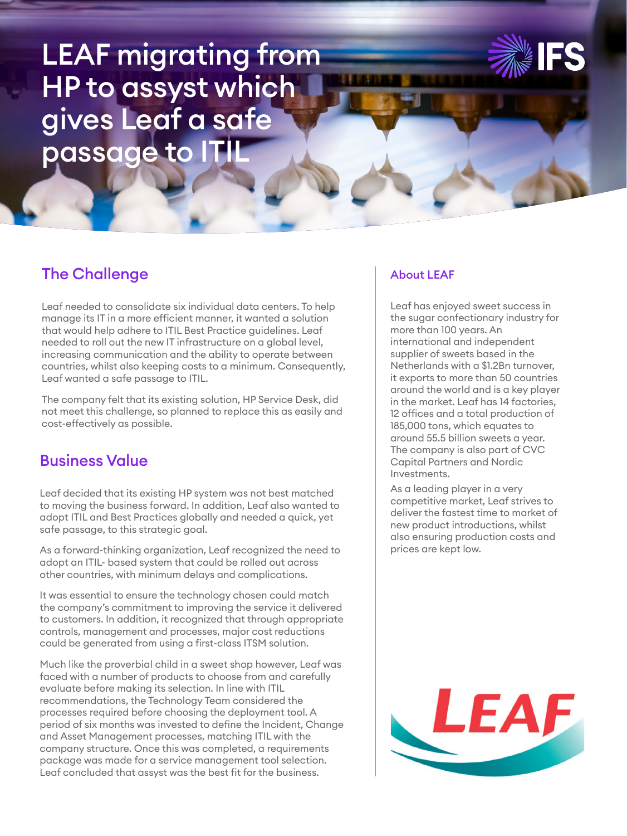# LEAF migrating from HP to assyst which gives Leaf a safe passage to ITIL



# The Challenge

Leaf needed to consolidate six individual data centers. To help manage its IT in a more efficient manner, it wanted a solution that would help adhere to ITIL Best Practice guidelines. Leaf needed to roll out the new IT infrastructure on a global level, increasing communication and the ability to operate between countries, whilst also keeping costs to a minimum. Consequently, Leaf wanted a safe passage to ITIL.

The company felt that its existing solution, HP Service Desk, did not meet this challenge, so planned to replace this as easily and cost-effectively as possible.

#### Business Value

Leaf decided that its existing HP system was not best matched to moving the business forward. In addition, Leaf also wanted to adopt ITIL and Best Practices globally and needed a quick, yet safe passage, to this strategic goal.

As a forward-thinking organization, Leaf recognized the need to adopt an ITIL- based system that could be rolled out across other countries, with minimum delays and complications.

It was essential to ensure the technology chosen could match the company's commitment to improving the service it delivered to customers. In addition, it recognized that through appropriate controls, management and processes, major cost reductions could be generated from using a first-class ITSM solution.

Much like the proverbial child in a sweet shop however, Leaf was faced with a number of products to choose from and carefully evaluate before making its selection. In line with ITIL recommendations, the Technology Team considered the processes required before choosing the deployment tool. A period of six months was invested to define the Incident, Change and Asset Management processes, matching ITIL with the company structure. Once this was completed, a requirements package was made for a service management tool selection. Leaf concluded that assyst was the best fit for the business.

#### About LEAF

Leaf has enjoyed sweet success in the sugar confectionary industry for more than 100 years. An international and independent supplier of sweets based in the Netherlands with a \$1.2Bn turnover, it exports to more than 50 countries around the world and is a key player in the market. Leaf has 14 factories, 12 offices and a total production of 185,000 tons, which equates to around 55.5 billion sweets a year. The company is also part of CVC Capital Partners and Nordic Investments.

As a leading player in a very competitive market, Leaf strives to deliver the fastest time to market of new product introductions, whilst also ensuring production costs and prices are kept low.